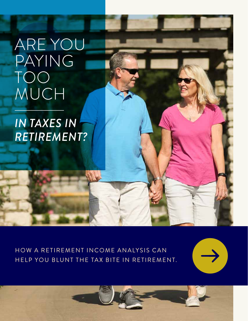## ARE YOU PAYING TOO MUCH

## *IN TAXES IN RETIREMENT?*

HOW A RETIREMENT INCOME ANALYSIS CAN HELP YOU BLUNT THE TAX BITE IN RETIREMENT.

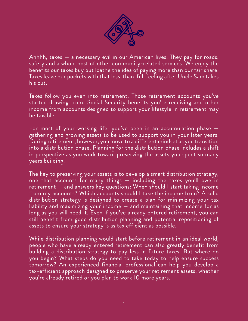

Ahhhh, taxes — a necessary evil in our American lives. They pay for roads, safety and a whole host of other community-related services. We enjoy the benefits our taxes buy but loathe the idea of paying more than our fair share. Taxes leave our pockets with that less-than-full feeling after Uncle Sam takes his cut.

Taxes follow you even into retirement. Those retirement accounts you've started drawing from, Social Security benefits you're receiving and other income from accounts designed to support your lifestyle in retirement may be taxable.

For most of your working life, you've been in an accumulation phase gathering and growing assets to be used to support you in your later years. During retirement, however, you move to a different mindset as you transition into a distribution phase. Planning for the distribution phase includes a shift in perspective as you work toward preserving the assets you spent so many years building.

The key to preserving your assets is to develop a smart distribution strategy, one that accounts for many things  $-$  including the taxes you'll owe in retirement — and answers key questions: When should I start taking income from my accounts? Which accounts should I take the income from? A solid distribution strategy is designed to create a plan for minimizing your tax liability and maximizing your income — and maintaining that income for as long as you will need it. Even if you've already entered retirement, you can still benefit from good distribution planning and potential repositioning of assets to ensure your strategy is as tax efficient as possible.

While distribution planning would start before retirement in an ideal world, people who have already entered retirement can also greatly benefit from building a distribution strategy to pay less in future taxes. But where do you begin? What steps do you need to take today to help ensure success tomorrow? An experienced financial professional can help you develop a tax-efficient approach designed to preserve your retirement assets, whether you're already retired or you plan to work 10 more years.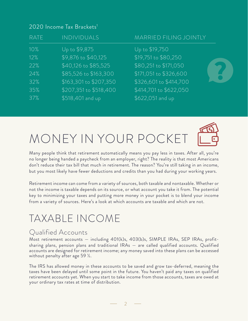#### 2020 Income Tax Brackets<sup>1</sup>

| <b>RATE</b>                                   | <b>INDIVIDUALS</b>                                                                                                                                            | <b>MARRIED FILING JOINTLY</b>                                                                                                                                     |  |
|-----------------------------------------------|---------------------------------------------------------------------------------------------------------------------------------------------------------------|-------------------------------------------------------------------------------------------------------------------------------------------------------------------|--|
| 10%<br>12%<br>22%<br>24%<br>32%<br>35%<br>37% | Up to \$9,875<br>\$9,876 to \$40,125<br>\$40,126 to \$85,525<br>\$85,526 to \$163,300<br>\$163,301 to \$207,350<br>\$207,351 to \$518,400<br>\$518,401 and up | Up to \$19,750<br>\$19,751 to \$80,250<br>\$80,251 to \$171,050<br>\$171,051 to \$326,600<br>\$326,601 to \$414,700<br>\$414,701 to \$622,050<br>\$622,051 and up |  |
|                                               |                                                                                                                                                               |                                                                                                                                                                   |  |

# MONEY IN YOUR POCKET

Many people think that retirement automatically means you pay less in taxes. After all, you're no longer being handed a paycheck from an employer, right? The reality is that most Americans don't reduce their tax bill that much in retirement. The reason? You're still taking in an income, but you most likely have fewer deductions and credits than you had during your working years.

Retirement income can come from a variety of sources, both taxable and nontaxable. Whether or not the income is taxable depends on its source, or what account you take it from. The potential key to minimizing your taxes and putting more money in your pocket is to blend your income from a variety of sources. Here's a look at which accounts are taxable and which are not.

## TAXABLE INCOME

### Qualified Accounts

Most retirement accounts — including 401(k)s, 403(b)s, SIMPLE IRAs, SEP IRAs, profitsharing plans, pension plans and traditional IRAs — are called qualified accounts. Qualified accounts are designed for retirement income; any money saved into these plans can be accessed without penalty after age 59 ½.

The IRS has allowed money in these accounts to be saved and grow tax-deferred, meaning the taxes have been delayed until some point in the future. You haven't paid any taxes on qualified retirement accounts yet. When you start to take income from those accounts, taxes are owed at your ordinary tax rates at time of distribution.

 $\overline{2}$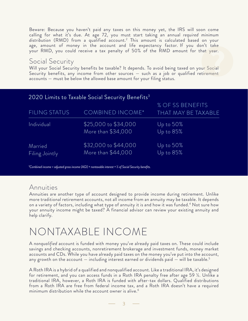Beware: Because you haven't paid any taxes on this money yet, the IRS will soon come calling for what it's due. At age 72, you must start taking an annual *required minimum distribution* (RMD) from a qualified account.2 This amount is calculated based on your age, amount of money in the account and life expectancy factor. If you don't take your RMD, you could receive a tax penalty of 50% of the RMD amount for that year.

### Social Security

Will your Social Security benefits be taxable? It depends. To avoid being taxed on your Social Security benefits, any income from other sources — such as a job or qualified retirement accounts — must be below the allowed base amount for your filing status.

|                           | 2020 Limits to Taxable Social Security Benefits <sup>3</sup> |                                         |
|---------------------------|--------------------------------------------------------------|-----------------------------------------|
| FILING STATUS             | <b>COMBINED INCOME*</b>                                      | % OF SS BENEFITS<br>THAT MAY BE TAXABLE |
| Individual                | \$25,000 to \$34,000<br>More than \$34,000                   | Up to 50%<br>Up to 85%                  |
| Married<br>Filing Jointly | \$32,000 to \$44,000<br>More than \$44,000                   | Up to 50%<br>Up to 85%                  |

*\*Combined income = adjusted gross income (AGI) + nontaxable interest + ½ of Social Security benefits.*

### Annuities

Annuities are another type of account designed to provide income during retirement. Unlike more traditional retirement accounts, not all income from an annuity may be taxable. It depends on a variety of factors, including what type of annuity it is and how it was funded.4 Not sure how your annuity income might be taxed? A financial advisor can review your existing annuity and help clarify.

### NONTAXABLE INCOME

A *nonqualified* account is funded with money you've already paid taxes on. These could include savings and checking accounts, nonretirement brokerage and investment funds, money market accounts and CDs. While you have already paid taxes on the money you've put into the account, any growth on the account  $-$  including interest earned or dividends paid  $-$  will be taxable.<sup>5</sup>

A Roth IRA is a hybrid of a qualified and nonqualified account. Like a traditional IRA, it's designed for retirement, and you can access funds in a Roth IRA penalty free after age 59 ½. Unlike a traditional IRA, however, a Roth IRA is funded with after-tax dollars. Qualified distributions from a Roth IRA are free from federal income tax, and a Roth IRA doesn't have a required minimum distribution while the account owner is alive.<sup>6</sup>

3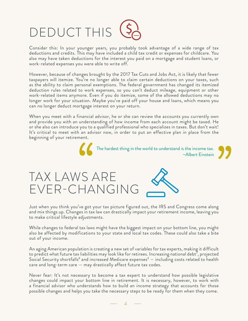# **DEDUCT THIS**

Consider this: In your younger years, you probably took advantage of a wide range of tax deductions and credits. This may have included a child tax credit or expenses for childcare. You also may have taken deductions for the interest you paid on a mortgage and student loans, or work-related expenses you were able to write off.

However, because of changes brought by the 2017 Tax Cuts and Jobs Act, it is likely that fewer taxpayers will itemize. You're no longer able to claim certain deductions on your taxes, such as the ability to claim personal exemptions. The federal government has changed its itemized deduction rules related to work expenses, so you can't deduct mileage, equipment or other work-related items anymore. Even if you do itemize, some of the allowed deductions may no longer work for your situation. Maybe you've paid off your house and loans, which means you can no longer deduct mortgage interest on your return.

When you meet with a financial advisor, he or she can review the accounts you currently own and provide you with an understanding of how income from each account might be taxed. He or she also can introduce you to a qualified professional who specializes in taxes. But don't wait! It's critical to meet with an advisor now, in order to put an effective plan in place from the beginning of your retirement.



# TAX LAWS ARE EVER-CHANGING 66<br>'S A



Just when you think you've got your tax picture figured out, the IRS and Congress come along and mix things up. Changes in tax law can drastically impact your retirement income, leaving you to make critical lifestyle adjustments.

While changes to federal tax laws might have the biggest impact on your bottom line, you might also be affected by modifications to your state and local tax codes. These could also take a bite out of your income.

An aging American population is creating a new set of variables for tax experts, making it difficult to predict what future tax liabilities may look like for retirees. Increasing national debt<sup>7</sup>, projected Social Security shortfalls $^8$  and increased Medicare expenses $^9-$  including costs related to health care and long-term care — may drastically affect future tax codes.

Never fear: It's not necessary to become a tax expert to understand how possible legislative changes could impact your bottom line in retirement. It is necessary, however, to work with a financial advisor who understands how to build an income strategy that accounts for those possible changes and helps you take the necessary steps to be ready for them when they come.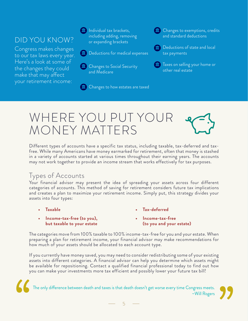### DID YOU KNOW?

Congress makes changes to our tax laws every year. Here's a look at some of the changes they could make that may affect your retirement income:

Individual tax brackets, including adding, removing or expanding brackets

- Deductions for medical expenses
- **ED** Changes to Social Security and Medicare

**lidges** Changes to how estates are taxed

**ledge** Changes to exemptions, credits and standard deductions

**m** Deductions of state and local tax payments

 $\Box$  Taxes on selling your home or other real estate

## WHERE YOU PUT YOUR MONEY MATTERS

Different types of accounts have a specific tax status, including taxable, tax-deferred and taxfree. While many Americans have money earmarked for retirement, often that money is stashed in a variety of accounts started at various times throughout their earning years. The accounts may not work together to provide an income stream that works effectively for tax purposes.

### Iypes of Accounts

Your financial advisor may present the idea of spreading your assets across four different categories of accounts. This method of saving for retirement considers future tax implications and creates a plan to maximize your retirement income. Simply put, this strategy divides your assets into four types:

- **• Taxable**
- **• Income-tax-free (to you), but taxable to your estate**
- **• Tax-deferred**
- **• Income-tax-free (to you and your estate)**

The categories move from 100% taxable to 100% income-tax-free for you and your estate. When preparing a plan for retirement income, your financial advisor may make recommendations for how much of your assets should be allocated to each account type.

If you currently have money saved, you may need to consider redistributing some of your existing assets into different categories. A financial advisor can help you determine which assets might be available for repositioning. Contact a qualified financial professional today to find out how you can make your investments more tax efficient and possibly lower your future tax bill!

The only difference between death and taxes is that death doesn't get worse every time Congress meets. ~Will Rogers

5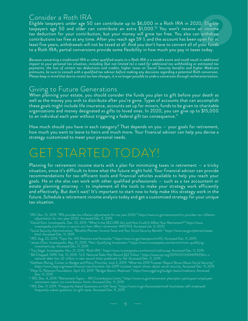### Consider a Roth IRA

Eligible taxpayers under age 50 can contribute up to \$6,000 in a Roth IRA in 2020. Eligible taxpayers age 50 and older can contribute an extra \$1,000.10 You won't receive an income tax deduction for your contribution, but your money will grow tax free. You also can withdraw contributions tax free at any time. After you reach age 59 ½ and the account has been open for at least five years, withdrawals will not be taxed at all. And you don't have to convert all of your funds to a Roth IRA; partial conversions provide some flexibility in how much you pay in taxes today.

*Because converting a traditional IRA or other qualified assets to a Roth IRA is a taxable event and could result in additional impact to your personal tax situation, including (but not limited to) a need for additional tax withholding or estimated tax payments, the loss of certain tax deductions and credits, higher taxes on Social Security benefits and higher Medicare premiums, be sure to consult with a qualified tax advisor before making any decisions regarding a potential Roth conversion. Please keep in mind that due to recent tax law changes, it is no longer possible to undo a conversion through recharacterization.*

### Giving to Future Generations

When planning your estate, you should consider the funds you plan to gift before your death as well as the money you wish to distribute after you're gone. Types of accounts that can accomplish these goals might include life insurance, accounts set up for minors, funds to be given to charitable organizations and money designated as gifts to loved ones. In 2020, you can give up to \$15,000 to an individual each year without triggering a federal gift tax consequence.<sup>11</sup>

How much should you have in each category? That depends on you — your goals for retirement, how much you want to leave to heirs and much more. Your financial advisor can help you devise a strategy customized to meet your personal needs.

## GET STARTED TODAY!

Planning for retirement income starts with a plan for minimizing taxes in retirement — a tricky situation, since it's difficult to know what the future might hold. Your financial advisor can provide recommendations for tax-efficient tools and financial vehicles available to help you reach your goals. He or she also can work with other qualified professionals — such as a tax accountant or estate planning attorney — to implement all the tools to make your strategy work efficiently and effectively. But don't wait! It's important to start now to help make this strategy work in the future. Schedule a retirement income analysis today and get a customized strategy for your unique tax situation.

2 Daniel Kurt. Investopedia. Dec. 23, 2019. "What Is the SECURE Act and How Could It Affect Your Retirement?" https://www. investopedia.com/what-is-secure-act-how-affect-retirement-4692743. Accessed Jan. 9, 2020.

- 4 IRS. Aug. 23, 2019. "Topic No. 410 Pensions and Annuities." https://www.irs.gov/taxtopics/tc410. Accessed Dec. 11, 2019.
- 5 James Chen. Investopedia. May 21, 2019. "Non-Qualifying Investment." https://www.investopedia.com/terms/n/non-qualifying investment.asp. Accessed Dec. 11, 2019.
- 6 Troy Segal. Investopedia. Nov. 21, 2019. "Roth IRA." https://www.investopedia.com/terms/r/rothira.asp. Accessed Dec. 11, 2019.
- 7 Bill Chappell. NPR. Feb. 13, 2019. "U.S. National Debt Hits Record \$22 Trillion." https://www.npr.org/2019/02/13/694199256/u-snational-debt-hits-22-trillion-a-new-record-thats-predicted-to-fall. Accessed Dec. 11, 2019.
- " Kathleen Romig. Center on Budget and Policy Priorities. June 5, 2019. "What the 2019 Trustees' Report Shows About Social Security."<br>"https://www.cbpp.org/research/social-security/what-the-2019-trustees-report-shows-about

<sup>1</sup> IRS. Nov. 15, 2019. "IRS provides tax inflation adjustments for tax year 2020." https://www.irs.gov/newsroom/irs-provides-tax-inflationadjustments-for-tax-year-2020. Accessed Dec. 11, 2019.

<sup>3</sup> Social Security Administration. "Benefits Planner: Income Taxes and Your Social Security Benefit." https://www.ssa.gov/planners/taxes. html. Accessed Dec. 11, 2019.

<sup>9</sup> Peter G. Peterson Foundation. April 30, 2019. "Budget Basics: Medicare." https://www.pgpf.org/budget-basics/medicare. Accessed

<sup>10</sup> IRS. Dec. 4, 2019. "Retirement Topics – IRA Contribution Limits." https://www.irs.gov/retirement-plans/plan-participant-employee/ retirement-topics-ira-contribution-limits. Accessed Dec. 11, 2019.

<sup>11</sup> IRS. Dec. 11, 2019. "Frequently Asked Questions on Gift Taxes." https://www.irs.gov/businesses/small-businesses-self-employed/ frequently-asked-questions-on-gift-taxes. Accessed Dec. 11, 2019.